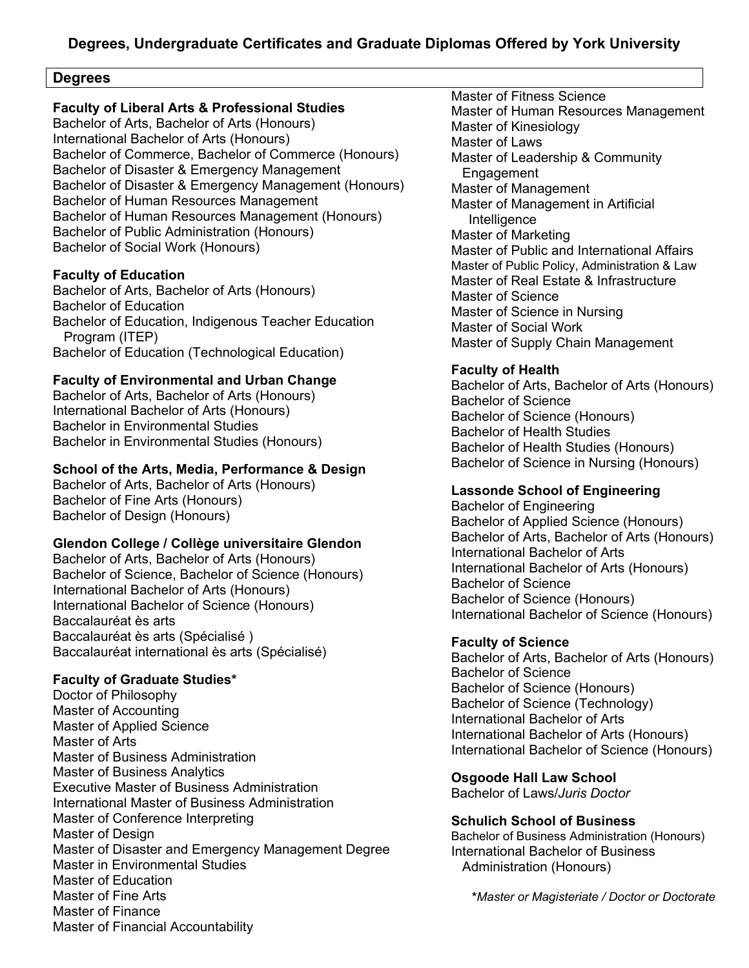## **Degrees**

## **Faculty of Liberal Arts & Professional Studies**

Bachelor of Arts, Bachelor of Arts (Honours) International Bachelor of Arts (Honours) Bachelor of Commerce, Bachelor of Commerce (Honours) Bachelor of Disaster & Emergency Management Bachelor of Disaster & Emergency Management (Honours) Bachelor of Human Resources Management Bachelor of Human Resources Management (Honours) Bachelor of Public Administration (Honours) Bachelor of Social Work (Honours)

### **Faculty of Education**

Bachelor of Arts, Bachelor of Arts (Honours) Bachelor of Education Bachelor of Education, Indigenous Teacher Education Program (ITEP) Bachelor of Education (Technological Education)

## **Faculty of Environmental and Urban Change**

Bachelor of Arts, Bachelor of Arts (Honours) International Bachelor of Arts (Honours) Bachelor in Environmental Studies Bachelor in Environmental Studies (Honours)

## **School of the Arts, Media, Performance & Design**

Bachelor of Arts, Bachelor of Arts (Honours) Bachelor of Fine Arts (Honours) Bachelor of Design (Honours)

## **Glendon College / Collège universitaire Glendon**

Bachelor of Arts, Bachelor of Arts (Honours) Bachelor of Science, Bachelor of Science (Honours) International Bachelor of Arts (Honours) International Bachelor of Science (Honours) Baccalauréat ès arts Baccalauréat ès arts (Spécialisé ) Baccalauréat international ès arts (Spécialisé)

## **Faculty of Graduate Studies\***

Doctor of Philosophy Master of Accounting Master of Applied Science Master of Arts Master of Business Administration Master of Business Analytics Executive Master of Business Administration International Master of Business Administration Master of Conference Interpreting Master of Design Master of Disaster and Emergency Management Degree Master in Environmental Studies Master of Education Master of Fine Arts Master of Finance Master of Financial Accountability

Master of Fitness Science Master of Human Resources Management Master of Kinesiology Master of Laws Master of Leadership & Community Engagement Master of Management Master of Management in Artificial Intelligence Master of Marketing Master of Public and International Affairs Master of Public Policy, Administration & Law Master of Real Estate & Infrastructure Master of Science Master of Science in Nursing Master of Social Work Master of Supply Chain Management

## **Faculty of Health**

Bachelor of Arts, Bachelor of Arts (Honours) Bachelor of Science Bachelor of Science (Honours) Bachelor of Health Studies Bachelor of Health Studies (Honours) Bachelor of Science in Nursing (Honours)

## **Lassonde School of Engineering**

Bachelor of Engineering Bachelor of Applied Science (Honours) Bachelor of Arts, Bachelor of Arts (Honours) International Bachelor of Arts International Bachelor of Arts (Honours) Bachelor of Science Bachelor of Science (Honours) International Bachelor of Science (Honours)

## **Faculty of Science**

Bachelor of Arts, Bachelor of Arts (Honours) Bachelor of Science Bachelor of Science (Honours) Bachelor of Science (Technology) International Bachelor of Arts International Bachelor of Arts (Honours) International Bachelor of Science (Honours)

**Osgoode Hall Law School**

Bachelor of Laws/*Juris Doctor*

### **Schulich School of Business**

Bachelor of Business Administration (Honours) International Bachelor of Business Administration (Honours)

**\****Master or Magisteriate / Doctor or Doctorate*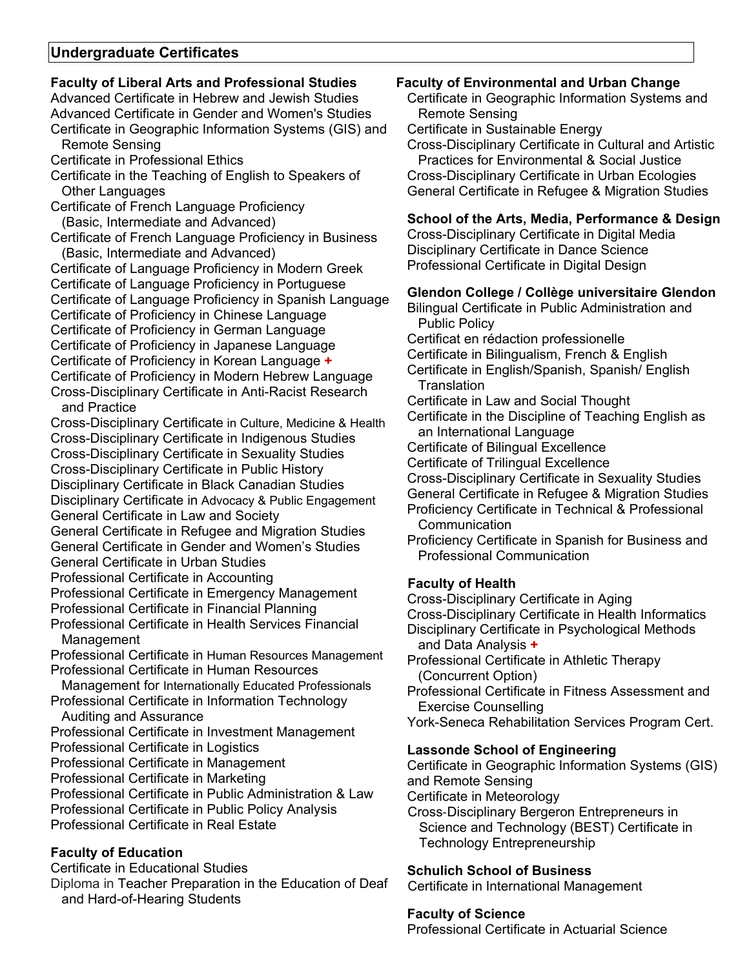# **Undergraduate Certificates**

# **Faculty of Liberal Arts and Professional Studies**

Advanced Certificate in Hebrew and Jewish Studies Advanced Certificate in Gender and Women's Studies Certificate in Geographic Information Systems (GIS) and Remote Sensing Certificate in Professional Ethics Certificate in the Teaching of English to Speakers of Other Languages Certificate of French Language Proficiency (Basic, Intermediate and Advanced) Certificate of French Language Proficiency in Business (Basic, Intermediate and Advanced) Certificate of Language Proficiency in Modern Greek Certificate of Language Proficiency in Portuguese Certificate of Language Proficiency in Spanish Language Certificate of Proficiency in Chinese Language Certificate of Proficiency in German Language Certificate of Proficiency in Japanese Language Certificate of Proficiency in Korean Language **+** Certificate of Proficiency in Modern Hebrew Language Cross-Disciplinary Certificate in Anti-Racist Research and Practice Cross-Disciplinary Certificate in Culture, Medicine & Health Cross-Disciplinary Certificate in Indigenous Studies Cross-Disciplinary Certificate in Sexuality Studies Cross-Disciplinary Certificate in Public History Disciplinary Certificate in Black Canadian Studies Disciplinary Certificate in Advocacy & Public Engagement General Certificate in Law and Society General Certificate in Refugee and Migration Studies General Certificate in Gender and Women's Studies General Certificate in Urban Studies Professional Certificate in Accounting Professional Certificate in Emergency Management Professional Certificate in Financial Planning Professional Certificate in Health Services Financial Management Professional Certificate in Human Resources Management Professional Certificate in Human Resources Management for Internationally Educated Professionals Professional Certificate in Information Technology Auditing and Assurance Professional Certificate in Investment Management Professional Certificate in Logistics Professional Certificate in Management Professional Certificate in Marketing Professional Certificate in Public Administration & Law Professional Certificate in Public Policy Analysis Professional Certificate in Real Estate

# **Faculty of Education**

Certificate in Educational Studies Diploma in Teacher Preparation in the Education of Deaf and Hard-of-Hearing Students

## **Faculty of Environmental and Urban Change**

Certificate in Geographic Information Systems and Remote Sensing

Certificate in Sustainable Energy

Cross-Disciplinary Certificate in Cultural and Artistic Practices for Environmental & Social Justice Cross-Disciplinary Certificate in Urban Ecologies General Certificate in Refugee & Migration Studies

## **School of the Arts, Media, Performance & Design**

Cross-Disciplinary Certificate in Digital Media Disciplinary Certificate in Dance Science Professional Certificate in Digital Design

## **Glendon College / Collège universitaire Glendon**

Bilingual Certificate in Public Administration and Public Policy

Certificat en rédaction professionelle

Certificate in Bilingualism, French & English

Certificate in English/Spanish, Spanish/ English **Translation** 

Certificate in Law and Social Thought

Certificate in the Discipline of Teaching English as an International Language

- Certificate of Bilingual Excellence
- Certificate of Trilingual Excellence
- Cross-Disciplinary Certificate in Sexuality Studies
- General Certificate in Refugee & Migration Studies
- Proficiency Certificate in Technical & Professional **Communication**
- Proficiency Certificate in Spanish for Business and Professional Communication

# **Faculty of Health**

Cross-Disciplinary Certificate in Aging Cross-Disciplinary Certificate in Health Informatics Disciplinary Certificate in Psychological Methods and Data Analysis **+** Professional Certificate in Athletic Therapy

(Concurrent Option)

Professional Certificate in Fitness Assessment and Exercise Counselling

York-Seneca Rehabilitation Services Program Cert.

## **Lassonde School of Engineering**

Certificate in Geographic Information Systems (GIS) and Remote Sensing Certificate in Meteorology Cross‐Disciplinary Bergeron Entrepreneurs in Science and Technology (BEST) Certificate in Technology Entrepreneurship

## **Schulich School of Business**

Certificate in International Management

### **Faculty of Science**

Professional Certificate in Actuarial Science